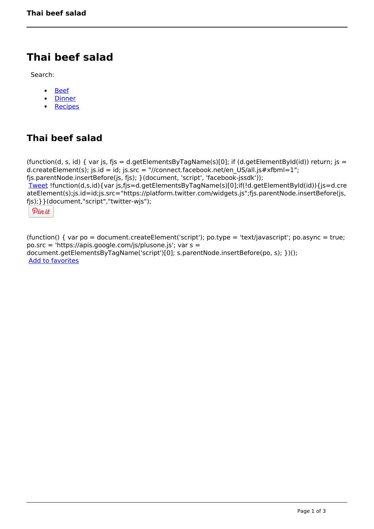# **Thai beef salad**

Search:

- [Beef](https://www.naturalhealthmag.com.au/nourish/beef)  $\bullet$
- [Dinner](https://www.naturalhealthmag.com.au/nourish/dinner-ideas)  $\bullet$
- **[Recipes](https://www.naturalhealthmag.com.au/nourish/recipes)**  $\bullet$

## **Thai beef salad**

```
(function(d, s, id) { var js, fjs = d.getElementsByTagName(s)[0]; if (d.getElementById(id)) return; js =
d.createElement(s); js.id = id; js.src = "//connect.facebook.net/en_US/all.js#xfbml=1";
fjs.parentNode.insertBefore(js, fjs); }(document, 'script', 'facebook-jssdk')); 
Tweet !function(d,s,id){var js,fjs=d.getElementsByTagName(s)[0];if(!d.getElementById(id)){js=d.cre
ateElement(s);js.id=id;js.src="https://platform.twitter.com/widgets.js";fjs.parentNode.insertBefore(js,
fjs);}}(document,"script","twitter-wjs"); 
 Pin it
```
(function() { var po = document.createElement('script'); po.type = 'text/javascript'; po.async = true; po.src = 'https://apis.google.com/js/plusone.js'; var s = document.getElementsByTagName('script')[0]; s.parentNode.insertBefore(po, s); })(); Add to favorites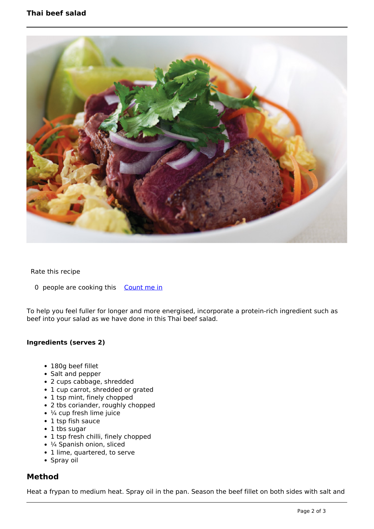### **Thai beef salad**



Rate this recipe

0 people are cooking this [Count me in](https://www.naturalhealthmag.com.au/flag/flag/favorites/436?destination=printpdf%2F436&token=8da1dccca5aa534bcf144fbaf015ee56)

To help you feel fuller for longer and more energised, incorporate a protein-rich ingredient such as beef into your salad as we have done in this Thai beef salad.

#### **Ingredients (serves 2)**

- 180g beef fillet
- Salt and pepper
- 2 cups cabbage, shredded
- 1 cup carrot, shredded or grated
- 1 tsp mint, finely chopped
- 2 tbs coriander, roughly chopped
- ¼ cup fresh lime juice
- 1 tsp fish sauce
- 1 tbs sugar
- 1 tsp fresh chilli, finely chopped
- 1/4 Spanish onion, sliced
- 1 lime, quartered, to serve
- Spray oil

#### **Method**

Heat a frypan to medium heat. Spray oil in the pan. Season the beef fillet on both sides with salt and